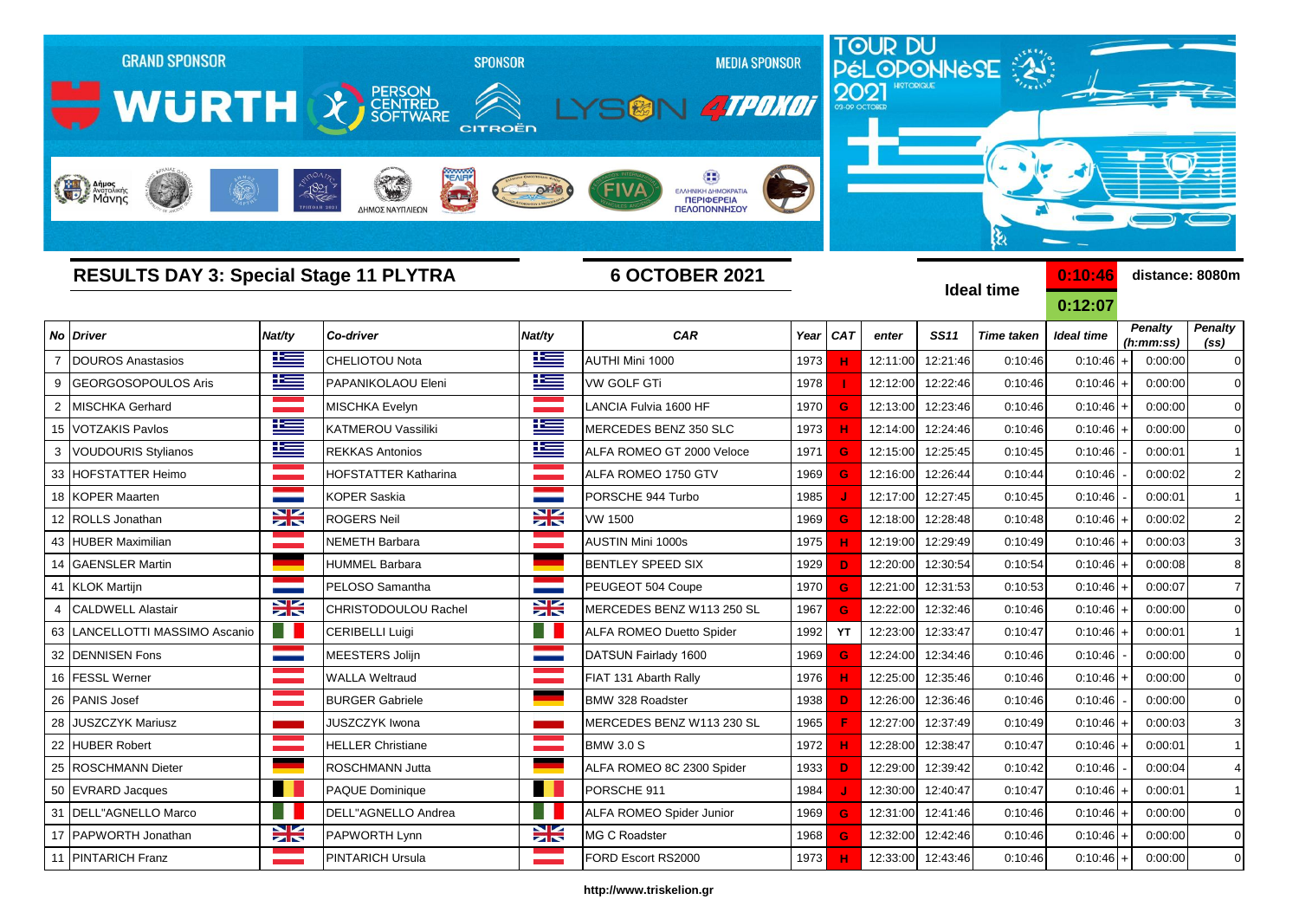

## **http://www.triskelion.gr**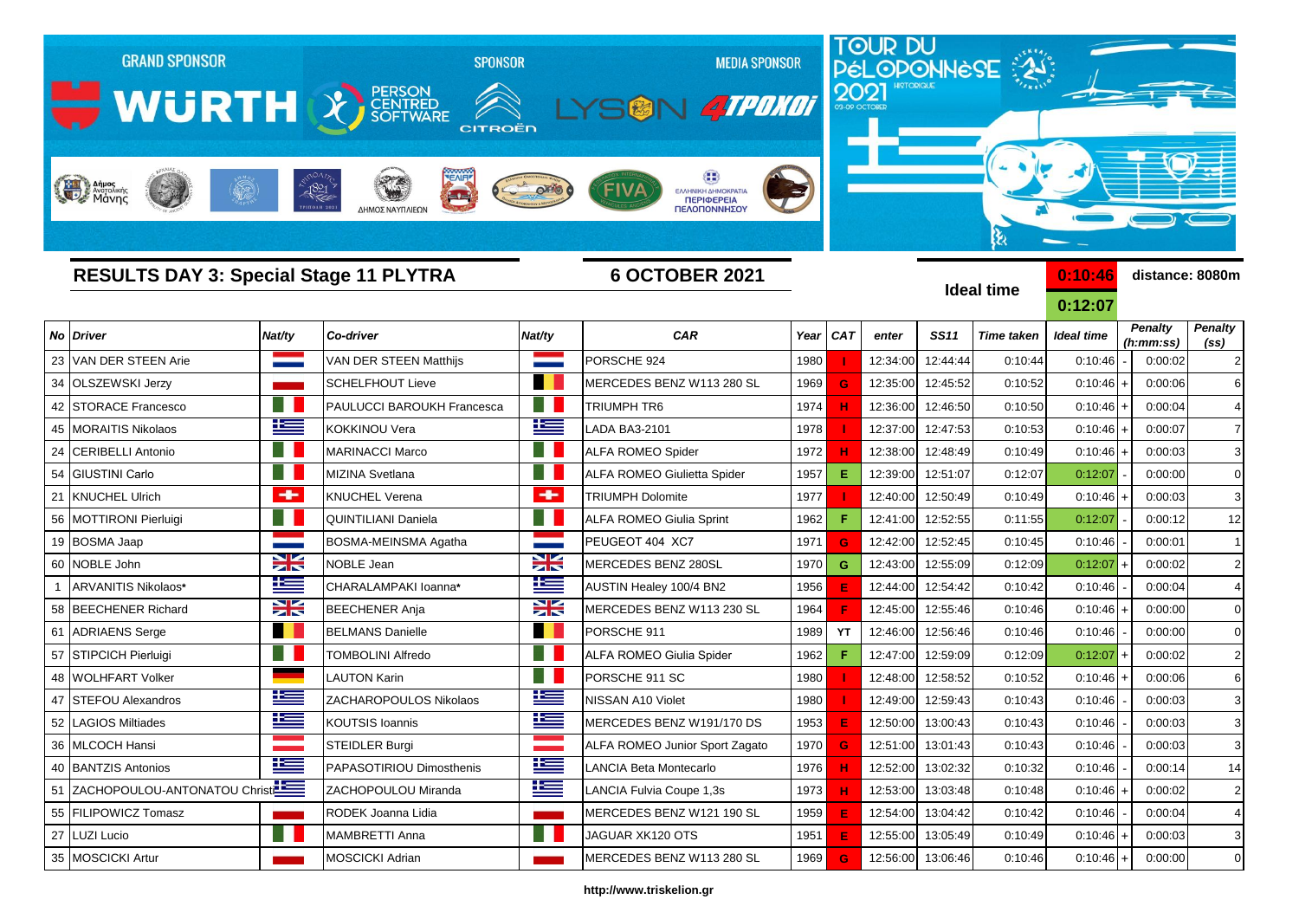| <b>GRAND SPONSOR</b>                          |           | <b>SPONSOR</b>                      |               | <b>MEDIA SPONSOR</b>                              |      |            |          |                   | <b>TOUR DU<br/>PÉLOPONNESE</b> |                    |                             |                                     |
|-----------------------------------------------|-----------|-------------------------------------|---------------|---------------------------------------------------|------|------------|----------|-------------------|--------------------------------|--------------------|-----------------------------|-------------------------------------|
| WURTH & FERSON                                |           | CITROËN                             |               | <b>ATPONOT</b>                                    |      |            |          |                   |                                |                    |                             |                                     |
| <b>Hall Anues</b>                             |           | $-1821$<br>فسرعك<br>ΔΗΜΟΣ ΝΑΥΠΛΙΕΩΝ |               | ΕΛΛΗΝΙΚΗ ΔΗΜΟΚΡΑΤΙΑ<br>ΠΕΡΙΦΕΡΕΙΑ<br>ΠΕΛΟΠΟΝΝΗΣΟΥ |      |            |          |                   | કે                             |                    |                             |                                     |
| <b>RESULTS DAY 3: Special Stage 11 PLYTRA</b> |           |                                     |               | <b>6 OCTOBER 2021</b>                             |      |            |          |                   | <b>Ideal time</b>              | 0:10:46<br>0:12:07 | distance: 8080m             |                                     |
| No<br><b>Driver</b>                           | Nat/ty    | Co-driver                           | Nat/ty        | <b>CAR</b>                                        | Year | <b>CAT</b> | enter    | <b>SS11</b>       | <b>Time taken</b>              | <b>Ideal time</b>  | <b>Penalty</b><br>(h:mm:ss) | <b>Penalty</b><br>(s <sub>s</sub> ) |
| VAN DER STEEN Arie<br>23                      |           | <b>VAN DER STEEN Matthijs</b>       |               | PORSCHE 924                                       | 1980 |            | 12:34:00 | 12:44:44          | 0:10:44                        | 0:10:46            | 0:00:02                     |                                     |
| 34<br><b>OLSZEWSKI Jerzy</b>                  |           | <b>SCHELFHOUT Lieve</b>             |               | MERCEDES BENZ W113 280 SL                         | 1969 | G          | 12:35:00 | 12:45:52          | 0:10:52                        | 0:10:46            | 0:00:06                     |                                     |
| 42<br><b>STORACE Francesco</b>                |           | PAULUCCI BAROUKH Francesca          |               | TRIUMPH TR6                                       | 1974 |            | 12:36:00 | 12:46:50          | 0:10:50                        | $0:10:46$ +        | 0:00:04                     |                                     |
| <b>MORAITIS Nikolaos</b><br>45                | ۲         | KOKKINOU Vera                       | <u>k </u>     | <b>ADA BA3-2101</b>                               | 1978 |            | 12:37:00 | 12:47:53          | 0:10:53                        | $0:10:46$ +        | 0:00:07                     |                                     |
| <b>CERIBELLI Antonio</b><br>24                |           | <b>MARINACCI Marco</b>              |               | <b>ALFA ROMEO Spider</b>                          | 1972 |            | 12:38:00 | 12:48:49          | 0:10:49                        | $0:10:46$ +        | 0:00:03                     | 3                                   |
| <b>GIUSTINI Carlo</b><br>54                   |           | <b>MIZINA Svetlana</b>              |               | <b>ALFA ROMEO Giulietta Spider</b>                | 1957 | Е.         | 12:39:00 | 12:51:07          | 0:12:07                        | 0:12:07            | 0:00:00                     | $\Omega$                            |
| <b>KNUCHEL Ulrich</b><br>21                   | ÷         | <b>KNUCHEL Verena</b>               | $\rightarrow$ | <b>TRIUMPH Dolomite</b>                           | 1977 |            | 12:40:00 | 12:50:49          | 0:10:49                        | $0:10:46 +$        | 0:00:03                     | 3                                   |
| MOTTIRONI Pierluigi<br>56                     | H.        | <b>QUINTILIANI Daniela</b>          |               | <b>ALFA ROMEO Giulia Sprint</b>                   | 1962 | F          | 12:41:00 | 12:52:55          | 0:11:55                        | 0:12:07            | 0:00:12                     | 12                                  |
| 19<br><b>BOSMA Jaap</b>                       |           | BOSMA-MEINSMA Agatha                |               | PEUGEOT 404 XC7                                   | 1971 | G          | 12:42:00 | 12:52:45          | 0:10:45                        | 0:10:46            | 0:00:01                     |                                     |
| NOBLE John<br>60                              | ≍         | NOBLE Jean                          | X             | MERCEDES BENZ 280SL                               | 1970 | G.         | 12:43:00 | 12:55:09          | 0:12:09                        | 0:12:07            | 0:00:02                     | $\overline{2}$                      |
| ARVANITIS Nikolaos*                           | Ł         | CHARALAMPAKI loanna*                | N             | AUSTIN Healey 100/4 BN2                           | 1956 |            | 12:44:00 | 12:54:42          | 0:10:42                        | 0:10:46            | 0:00:04                     |                                     |
| <b>BEECHENER Richard</b><br>58                | X         | <b>BEECHENER Anja</b>               | X             | MERCEDES BENZ W113 230 SL                         | 1964 |            | 12:45:00 | 12:55:46          | 0:10:46                        | $0:10:46$ +        | 0:00:00                     | $\mathbf 0$                         |
| 61<br><b>ADRIAENS Serge</b>                   |           | <b>BELMANS Danielle</b>             |               | PORSCHE 911                                       | 1989 | YT         | 12:46:00 | 12:56:46          | 0:10:46                        | 0:10:46            | 0:00:00                     |                                     |
| STIPCICH Pierluigi<br>57                      |           | <b>TOMBOLINI Alfredo</b>            |               | <b>ALFA ROMEO Giulia Spider</b>                   | 1962 | F          | 12:47:00 | 12:59:09          | 0:12:09                        | 0:12:07            | 0:00:02                     | 2                                   |
| <b>WOLHFART Volker</b><br>48                  |           | LAUTON Karin                        |               | PORSCHE 911 SC                                    | 1980 |            | 12:48:00 | 12:58:52          | 0:10:52                        | $0:10:46$ +        | 0:00:06                     | 6                                   |
| 47<br><b>STEFOU Alexandros</b>                | ħ         | ZACHAROPOULOS Nikolaos              | F             | NISSAN A10 Violet                                 | 1980 |            | 12:49:00 | 12:59:43          | 0:10:43                        | 0:10:46            | 0:00:03                     | 3                                   |
| 52<br><b>LAGIOS Miltiades</b>                 | $\equiv$  | <b>KOUTSIS Ioannis</b>              | <u>is </u>    | MERCEDES BENZ W191/170 DS                         | 1953 |            |          | 12:50:00 13:00:43 | 0:10:43                        | 0:10:46            | 0:00:03                     |                                     |
| 36   MLCOCH Hansi                             |           | STEIDLER Burgi                      |               | ALFA ROMEO Junior Sport Zagato                    | 1970 | G          |          | 12:51:00 13:01:43 | 0:10:43                        | 0:10:46            | 0:00:03                     | 3                                   |
| 40 BANTZIS Antonios                           | l         | PAPASOTIRIOU Dimosthenis            | ١Œ            | LANCIA Beta Montecarlo                            | 1976 |            |          | 12:52:00 13:02:32 | 0:10:32                        | 0:10:46            | 0:00:14                     | 14                                  |
| ZACHOPOULOU-ANTONATOU Christ<br>51            |           | ZACHOPOULOU Miranda                 | 坚             | LANCIA Fulvia Coupe 1,3s                          | 1973 |            | 12:53:00 | 13:03:48          | 0:10:48                        | $0:10:46 +$        | 0:00:02                     | $\overline{2}$                      |
| <b>FILIPOWICZ Tomasz</b><br>55                |           | RODEK Joanna Lidia                  |               | MERCEDES BENZ W121 190 SL                         | 1959 |            |          | 12:54:00 13:04:42 | 0:10:42                        | 0:10:46            | 0:00:04                     | $\overline{4}$                      |
| LUZI Lucio<br>27                              | <b>TI</b> | MAMBRETTI Anna                      |               | JAGUAR XK120 OTS                                  | 1951 |            |          | 12:55:00 13:05:49 | 0:10:49                        | $0:10:46$ +        | 0:00:03                     | 3                                   |

## **http://www.triskelion.gr**

35 MOSCICKI Artur **MOSCICKI Adrian MERCEDES BENZ W113 280 SL** 1969 **G** 12:56:00 13:06:46 0:10:46 0:10:46 0:10:00 0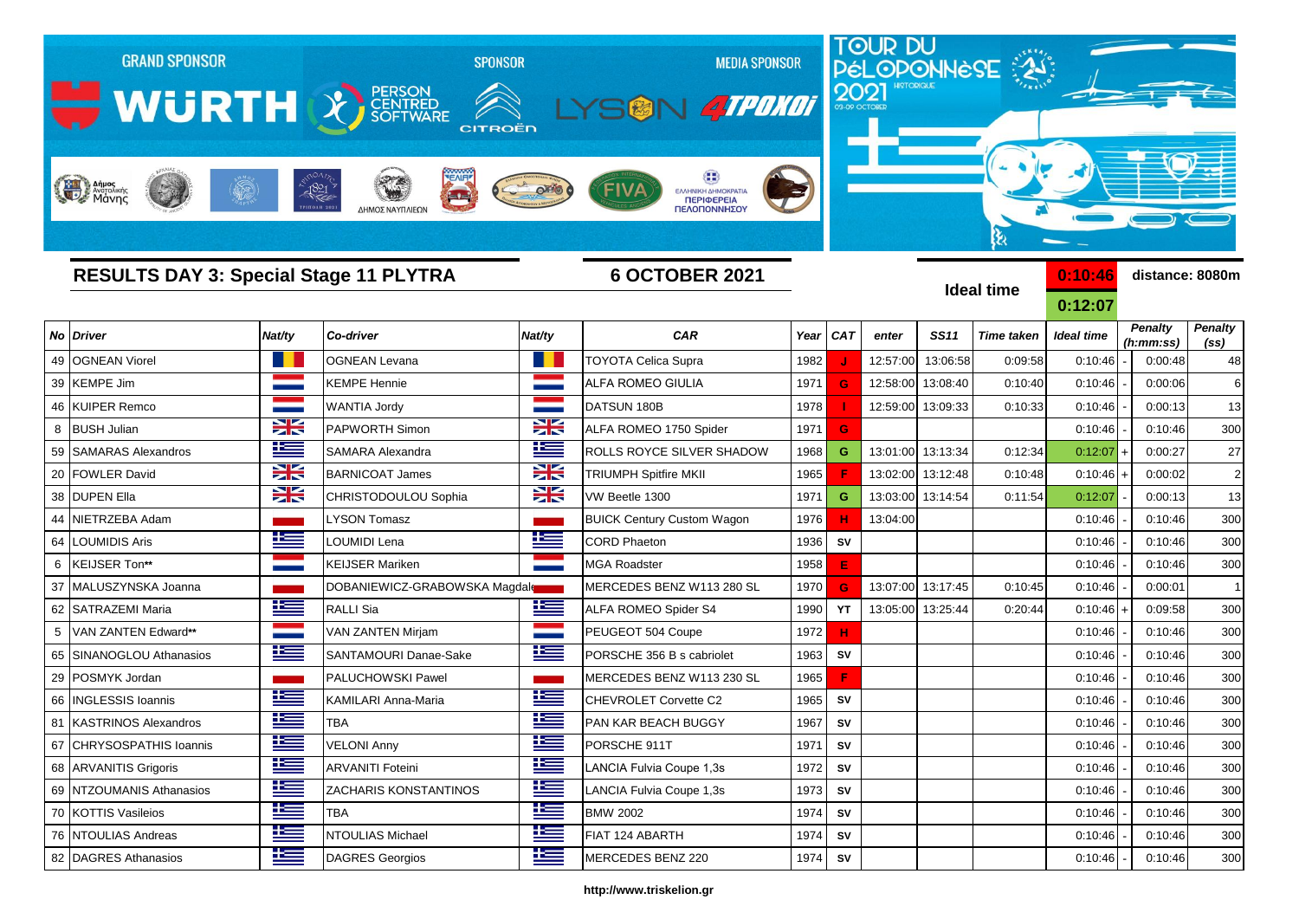| <b>GRAND SPONSOR</b><br>WURTH X SCRITTRED<br>Anjues<br>Margolikins |               | <b>SPONSOR</b><br>CITROËN<br>$-1821$<br>ΔΗΜΟΣ ΝΑΥΠΛΙΕΩΝ |              | <b>MEDIA SPONSOR</b><br>SGN 4TPOKOT<br>FIVA<br>ΕΛΛΗΝΙΚΗ ΔΗΜΟΚΡΑΤΙΑ<br><b>ПЕРІФЕРЕІА</b><br>ΠΕΛΟΠΟΝΝΗΣΟΥ |      |            | 2021     |                   | <b>TOUR DU<br/>PÉLOPONNÈSE</b><br>કે |                    |                             |                                     |
|--------------------------------------------------------------------|---------------|---------------------------------------------------------|--------------|---------------------------------------------------------------------------------------------------------|------|------------|----------|-------------------|--------------------------------------|--------------------|-----------------------------|-------------------------------------|
| <b>RESULTS DAY 3: Special Stage 11 PLYTRA</b>                      |               |                                                         |              | <b>6 OCTOBER 2021</b>                                                                                   |      |            |          |                   | <b>Ideal time</b>                    | 0:10:46<br>0:12:07 |                             | distance: 8080m                     |
| No<br><b>Driver</b>                                                | Nat/ty        | Co-driver                                               | Nat/ty       | <b>CAR</b>                                                                                              | Year | <b>CAT</b> | enter    | <b>SS11</b>       | <b>Time taken</b>                    | <b>Ideal time</b>  | <b>Penalty</b><br>(h:mm:ss) | <b>Penalty</b><br>(s <sub>s</sub> ) |
| <b>OGNEAN Viorel</b><br>49                                         |               | <b>OGNEAN Levana</b>                                    |              | <b>TOYOTA Celica Supra</b>                                                                              | 1982 |            | 12:57:00 | 13:06:58          | 0:09:58                              | 0:10:46            | 0:00:48                     | 48                                  |
| <b>KEMPE Jim</b><br>39                                             |               | <b>KEMPE Hennie</b>                                     |              | ALFA ROMEO GIULIA                                                                                       | 1971 | G          | 12:58:00 | 13:08:40          | 0:10:40                              | 0:10:46            | 0:00:06                     | 6                                   |
| <b>KUIPER Remco</b><br>46                                          |               | WANTIA Jordy                                            |              | DATSUN 180B                                                                                             | 1978 |            |          | 12:59:00 13:09:33 | 0:10:33                              | 0:10:46            | 0:00:13                     | 13                                  |
| <b>BUSH Julian</b><br>8                                            | X             | PAPWORTH Simon                                          | X            | ALFA ROMEO 1750 Spider                                                                                  | 1971 | G          |          |                   |                                      | 0:10:46            | 0:10:46                     | 300                                 |
| <b>SAMARAS Alexandros</b><br>59                                    | $\pm$         | SAMARA Alexandra                                        | Ë            | ROLLS ROYCE SILVER SHADOW                                                                               | 1968 | G          | 13:01:00 | 13:13:34          | 0:12:34                              | 0:12:07            | 0:00:27                     | 27                                  |
| 20<br><b>FOWLER David</b>                                          | XK            | <b>BARNICOAT James</b>                                  | X            | <b>TRIUMPH Spitfire MKII</b>                                                                            | 1965 |            | 13:02:00 | 13:12:48          | 0:10:48                              | 0:10:46            | 0:00:02                     | $\overline{2}$                      |
| <b>DUPEN Ella</b><br>38                                            | X             | CHRISTODOULOU Sophia                                    | ≍            | VW Beetle 1300                                                                                          | 1971 | G          | 13:03:00 | 13:14:54          | 0:11:54                              | 0:12:07            | 0:00:13                     | 13                                  |
| NIETRZEBA Adam<br>44                                               |               | <b>LYSON Tomasz</b>                                     |              | <b>BUICK Century Custom Wagon</b>                                                                       | 1976 | н          | 13:04:00 |                   |                                      | 0:10:46            | 0:10:46                     | 300                                 |
| <b>LOUMIDIS Aris</b><br>64                                         | $\mathbf{r}$  | LOUMIDI Lena                                            | $\mathbf{E}$ | <b>CORD Phaeton</b>                                                                                     | 1936 | <b>SV</b>  |          |                   |                                      | 0:10:46            | 0:10:46                     | 300                                 |
| <b>KEIJSER Ton**</b><br>6                                          |               | <b>KEIJSER Mariken</b>                                  |              | <b>MGA Roadster</b>                                                                                     | 1958 | E          |          |                   |                                      | 0:10:46            | 0:10:46                     | 300                                 |
| 37<br>MALUSZYNSKA Joanna                                           |               | DOBANIEWICZ-GRABOWSKA Magdal                            |              | MERCEDES BENZ W113 280 SL                                                                               | 1970 | G          |          | 13:07:00 13:17:45 | 0:10:45                              | 0:10:46            | 0:00:01                     | $\mathbf{1}$                        |
| <b>SATRAZEMI Maria</b><br>62                                       | <u>k </u>     | <b>RALLI Sia</b>                                        | <u>ik –</u>  | ALFA ROMEO Spider S4                                                                                    | 1990 | YT         |          | 13:05:00 13:25:44 | 0:20:44                              | $0:10:46$ +        | 0:09:58                     | 300                                 |
| VAN ZANTEN Edward**<br>5                                           |               | VAN ZANTEN Mirjam                                       |              | PEUGEOT 504 Coupe                                                                                       | 1972 | н          |          |                   |                                      | 0:10:46            | 0:10:46                     | 300                                 |
| SINANOGLOU Athanasios<br>65                                        | <u> 12 - </u> | SANTAMOURI Danae-Sake                                   | <u>ik a</u>  | PORSCHE 356 B s cabriolet                                                                               | 1963 | SV         |          |                   |                                      | 0:10:46            | 0:10:46                     | 300                                 |
| 29<br>POSMYK Jordan                                                |               | PALUCHOWSKI Pawel                                       |              | MERCEDES BENZ W113 230 SL                                                                               | 1965 | F          |          |                   |                                      | 0:10:46            | 0:10:46                     | 300                                 |
| <b>INGLESSIS Ioannis</b><br>66                                     | ١Œ            | KAMILARI Anna-Maria                                     | Ī            | CHEVROLET Corvette C2                                                                                   | 1965 | SV         |          |                   |                                      | 0:10:46            | 0:10:46                     | 300                                 |
| 81 KASTRINOS Alexandros                                            | <u>is</u>     | <b>TBA</b>                                              | 生            | PAN KAR BEACH BUGGY                                                                                     | 1967 | ${\sf SV}$ |          |                   |                                      | 0:10:46            | 0:10:46                     | 300                                 |
| 67 CHRYSOSPATHIS Ioannis                                           | ١Œ            | <b>VELONI Anny</b>                                      | N            | PORSCHE 911T                                                                                            | 1971 | <b>SV</b>  |          |                   |                                      | 0:10:46            | 0:10:46                     | 300                                 |
| 68 ARVANITIS Grigoris                                              | ١Œ            | <b>ARVANITI Foteini</b>                                 | <u>ie </u>   | LANCIA Fulvia Coupe 1,3s                                                                                | 1972 | <b>SV</b>  |          |                   |                                      | 0:10:46            | 0:10:46                     | 300                                 |
| 69 NTZOUMANIS Athanasios                                           | ١æ            | <b>ZACHARIS KONSTANTINOS</b>                            | E            | LANCIA Fulvia Coupe 1,3s                                                                                | 1973 | SV         |          |                   |                                      | 0:10:46            | 0:10:46                     | 300                                 |
| 70 KOTTIS Vasileios                                                | 连             | <b>TBA</b>                                              | ١Œ           | <b>BMW 2002</b>                                                                                         | 1974 | <b>SV</b>  |          |                   |                                      | 0:10:46            | 0:10:46                     | 300                                 |
| 76 NTOULIAS Andreas                                                | 当             | NTOULIAS Michael                                        | كنة          | FIAT 124 ABARTH                                                                                         | 1974 | <b>SV</b>  |          |                   |                                      | 0:10:46            | 0:10:46                     | 300                                 |

## **http://www.triskelion.gr**

82 DAGRES Athanasios **DAGRES Georgios** DAGRES Georgios **DAGRES DENZ 220** 1974 **SV** 1974 **SV** 0:10:46 - 0:10:46 300